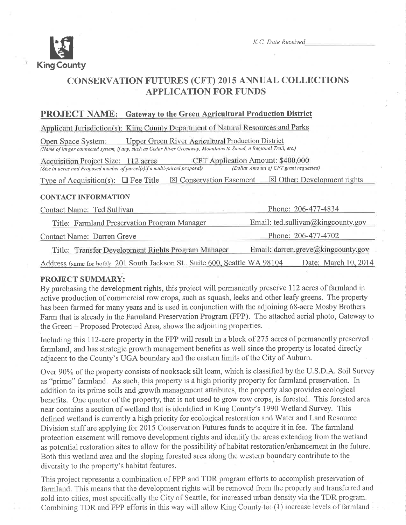

K.C. Date Received

# **CONSERVATION FUTURES (CFT) 2015 ANNUAL COLLECTIONS APPLICATION FOR FUNDS**

# **PROJECT NAME:** Gateway to the Green Agricultural Production District

Applicant Jurisdiction(s): King County Department of Natural Resources and Parks

**Upper Green River Agricultural Production District** Open Space System: (Name of larger connected system, if any, such as Cedar River Greenway, Mountains to Sound, a Regional Trail, etc.)

Acquisition Project Size: 112 acres CFT Application Amount: \$400,000 (Size in acres and Proposed number of parcel(s)if a multi-parcel proposal) (Dollar Amount of CFT grant requested)

Type of Acquisition(s):  $\Box$  Fee Title  $\boxtimes$  Conservation Easement  $\boxtimes$  Other: Development rights

## **CONTACT INFORMATION**

| Contact Name: Ted Sullivan                                                  | Phone: 206-477-4834                |  |
|-----------------------------------------------------------------------------|------------------------------------|--|
| Title: Farmland Preservation Program Manager                                | Email: ted.sullivan@kingcounty.gov |  |
| Contact Name: Darren Greve                                                  | Phone: 206-477-4702                |  |
| Title: Transfer Development Rights Program Manager                          | Email: darren.greve@kingcounty.gov |  |
| Address (same for both): 201 South Jackson St., Suite 600, Seattle WA 98104 | Date: March 10, 2014               |  |

# **PROJECT SUMMARY:**

By purchasing the development rights, this project will permanently preserve 112 acres of farmland in active production of commercial row crops, such as squash, leeks and other leafy greens. The property has been farmed for many years and is used in conjunction with the adjoining 68-acre Mosby Brothers Farm that is already in the Farmland Preservation Program (FPP). The attached aerial photo, Gateway to the Green – Proposed Protected Area, shows the adjoining properties.

Including this 112-acre property in the FPP will result in a block of 275 acres of permanently preserved farmland, and has strategic growth management benefits as well since the property is located directly adiacent to the County's UGA boundary and the eastern limits of the City of Auburn.

Over 90% of the property consists of nooksack silt loam, which is classified by the U.S.D.A. Soil Survey as "prime" farmland. As such, this property is a high priority property for farmland preservation. In addition to its prime soils and growth management attributes, the property also provides ecological benefits. One quarter of the property, that is not used to grow row crops, is forested. This forested area near contains a section of wetland that is identified in King County's 1990 Wetland Survey. This defined wetland is currently a high priority for ecological restoration and Water and Land Resource Division staff are applying for 2015 Conservation Futures funds to acquire it in fee. The farmland protection easement will remove development rights and identify the areas extending from the wetland as potential restoration sites to allow for the possibility of habitat restoration/enhancement in the future. Both this wetland area and the sloping forested area along the western boundary contribute to the diversity to the property's habitat features.

This project represents a combination of FPP and TDR program efforts to accomplish preservation of farmland. This means that the development rights will be removed from the property and transferred and sold into cities, most specifically the City of Seattle, for increased urban density via the TDR program. Combining TDR and FPP efforts in this way will allow King County to: (1) increase levels of farmland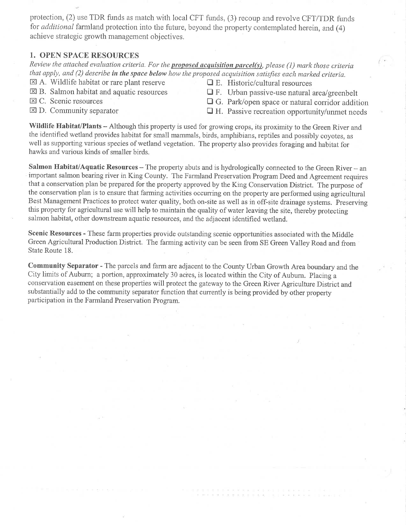protection, (2) use TDR funds as match with local CFT funds, (3) recoup and revolve CFT/TDR funds for *additional* farmland protection into the future, beyond the property contemplated herein, and (4) achieve strategic growth management objectives.

## 1. OPEN SPACE RESOURCES

Review the attached evaluation criteria. For the proposed acquisition parcel(s), please (1) mark those criteria that apply, and (2) describe in the space below how the proposed acquisition satisfies each marked criteria.

- $\boxtimes$  A. Wildlife habitat or rare plant reserve  $\Box$  E. Historic/cultural resources  $\boxtimes$  B. Salmon habitat and aquatic resources  $\Box$  F. Urban passive-use natural and
- 
- 
- 

 $\square$  F. Urban passive-use natural area/greenbelt

- $\boxtimes$  C. Scenic resources  $\Box$  G. Park/open space or natural corridor addition  $\Box$  D. Community separator  $\Box$  H. Passive recreation opportunity/unmet needs
	- $\Box$  H. Passive recreation opportunity/unmet needs

Wildlife Habitat/Plants - Although this property is used for growing crops, its proximity to the Green River and the identified wetland provides habitat for small mammals, birds, amphibians, reptìles and possibly coyotes, as well as supporting various species of wetland vegetation. The property also provides foraging and habitat for hawks and various kinds of smaller birds.

Salmon Habitat/Aquatic Resources  $-$  The property abuts and is hydrologically connected to the Green River  $-$  an important salmon bearing river in King County. The Farmland Preservation Program Deed and Agreement requires that a conservation plan be prepared for the property approved by the King Conservation District. The purpose of the conservation plan is to ensure that farming activities occurring on the properfy are performed using agricultural Best Management Practices to protect water quality, both on-site as well as in off-site drainage systems. Preserving this property for agricultural use will help to maintain the quality of water leaving the site, thereby protecting salmon habitat, other downstream aquatic resources, and the adjacent identified wetland.

Scenic Resources - These farm properties provide outstanding scenic opportunities associated with the Middle Green Agricultural Production District. The farming activity can be seen from SE Green Valley Road and from State Route 18.

Community Separator - The parcels and farm are adjacent to the County Urban Growth Area boundary and the City limits of Auburn; a portion, approximately 30 acies, is located within the City of Aubum. Placing <sup>a</sup> conservation easement on these properties will protect the gateway to the Green River Agriculture District and substantially add to the community separator function that curently is being provided by other property participation in the Farmland Preservation Program.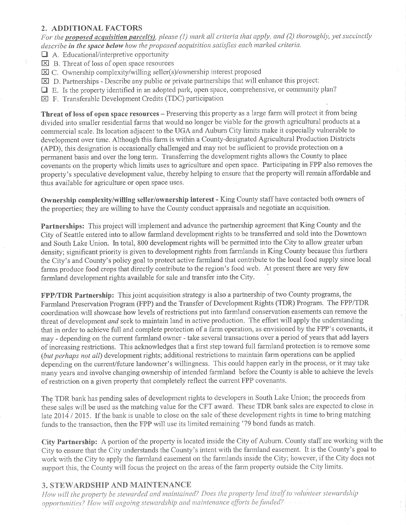## 2. ADDITIONAL FACTORS

For the proposed acquisition parcel(s), please (1) mark all criteria that apply, and (2) thoroughly, yet succinctly describe in the space below how the proposed acquisition satisfies each marked criteria.

- $\Box$  A. Educational/interpretive opportunity
- $\boxtimes$  B. Threat of loss of open space resources
- $\boxtimes$  C. Ownership complexity/willing seller(s)/ownership interest proposed
- $\boxtimes$  D. Partnerships Describe any public or private partnerships that will enhance this project:
- $\Box$  E. Is the property identified in an adopted park, open space, comprehensive, or community plan?
- $\boxtimes$  F. Transferable Development Credits (TDC) participation

Threat of loss of open space resources – Preserving this property as a large farm will protect it from being divided into smaller residential farms that would no longer be viable for the growth agricultural products at a commercial scale. Its location adjacent to the UGA and Auburn City limits make it especially vulnerable to development over time. Although this farm is within a County-designated Agricultural Production Districts (APD), this designation is occasionally challenged and may not be sufficient to provide protection on a permanent basis and over the long term. Transferring the development rights allows the County to place covenants on the property which limits uses to agriculture and open space. Participating in FPP also removes the property's speculative development value, thereby helping to ensure that the property will remain affordable and thus available for agriculture or open space uses.

Ownership complexity/willing seller/ownership interest - King County staff have contacted both owners of the properties; they are willing to have the County conduct appraisals and negotiate an acquisition.

Partnerships: This project will implement and advance the partnership agreement that King County and the City of Seattle entered into to allow farmland development rights to be transferred and sold into the Downtown and South Lake Union. In total, 800 development rights will be permitted into the City to allow greater urban density; significant priority is given to development rights from farmlands in King County because this furthers the City's and County's policy goal to protect active farmland that contribute to the local food supply since local farms produce food crops that directly contribute to the region's food web. At present there are very few farmland development rights available for sale and transfer into the City.

**FPP/TDR Partnership:** This joint acquisition strategy is also a partnership of two County programs, the Farmland Preservation Program (FPP) and the Transfer of Development Rights (TDR) Program. The FPP/TDR coordination will showcase how levels of restrictions put into farmland conservation easements can remove the threat of development and seek to maintain land in active production. The effort will apply the understanding that in order to achieve full and complete protection of a farm operation, as envisioned by the FPP's covenants, it may - depending on the current farmland owner - take several transactions over a period of years that add layers of increasing restrictions. This acknowledges that a first step toward full farmland protection is to remove some (but perhaps not all) development rights; additional restrictions to maintain farm operations can be applied depending on the current/future landowner's willingness. This could happen early in the process, or it may take many years and involve changing ownership of intended farmland before the County is able to achieve the levels of restriction on a given property that completely reflect the current FPP covenants.

The TDR bank has pending sales of development rights to developers in South Lake Union; the proceeds from these sales will be used as the matching value for the CFT award. These TDR bank sales are expected to close in late 2014 / 2015. If the bank is unable to close on the sale of these development rights in time to bring matching funds to the transaction, then the FPP will use its limited remaining '79 bond funds as match.

City Partnership: A portion of the property is located inside the City of Auburn. County staff are working with the City to ensure that the City understands the County's intent with the farmland easement. It is the County's goal to work with the City to apply the farmland easement on the farmlands inside the City; however, if the City does not support this, the County will focus the project on the areas of the farm property outside the City limits.

# 3. STEWARDSHIP AND MAINTENANCE

How will the property be stewarded and maintained? Does the property lend itself to volunteer stewardship opportunities? How will ongoing stewardship and maintenance efforts be funded?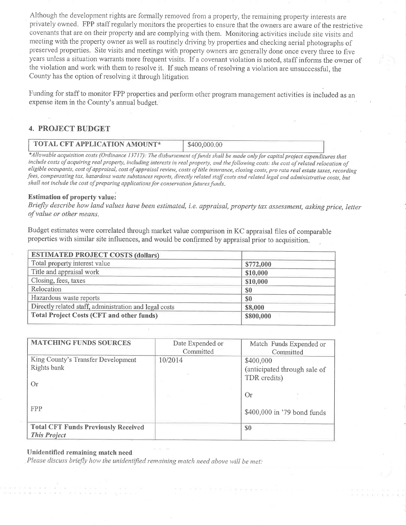Although the development rights are formally removed from a property, the remaining property interests are privately owned. FPP staff regularly monitors the properties to ensure that the owners are aware of the restrictive covenants that are on their property and are complying with them. Monitoring activities include site visits and meeting with the property owner as well as routinely driving by properties and checking aerial photographs of preserved properties. Site visits and meetings with property owners are generally done once every three to five years unless a situation warants more frequent visits. If a covenant violation is noted, staff informs the owner of the violation and work with them to resolve it. If such means of resolving a violation are unsuccessful, the County has the option of resolving it through litigation

Funding for staff to monitor FPP properties and perform other program management activities is included as an expense item in the County's annual budget.

#### 4. PROJECT BUDGET

| TOTAL CFT APPLICATION AMOUNT* | \$400,000.00 |  |
|-------------------------------|--------------|--|
|-------------------------------|--------------|--|

\*Allowable acquisition costs (Ordinance 13717): The disbursement of funds shall be made only for capital project expenditures that include costs of acquiring real property, including interests in real property, and the following costs: the cost of related relocation of eligible occupants, cost of appraisal, cost of appraisal review, costs of title insurance, closing costs, pro rata real estate taxes, recording fees, compensating tax, hazardous waste substances reports, directly related staff costs and related legal and administrative costs, but shall not include the cost of preparing applications for conservation futures funds.

#### Estimation of property value:

Briefly describe how land values have been estimated, i.e. appraisal, property tax assessment, asking price, letter of value or other means.

Budget estimates were correlated through market value comparison in KC appraisal files of comparable properties with similar site influences, and would be confirmed by appraisal prior to acquisition.

| <b>ESTIMATED PROJECT COSTS (dollars)</b>               |           |  |
|--------------------------------------------------------|-----------|--|
| Total property interest value                          | \$772,000 |  |
| Title and appraisal work                               | \$10,000  |  |
| Closing, fees, taxes                                   | \$10,000  |  |
| Relocation                                             | \$0       |  |
| Hazardous waste reports                                | \$0       |  |
| Directly related staff, administration and legal costs | \$8,000   |  |
| <b>Total Project Costs (CFT and other funds)</b>       | \$800,000 |  |
|                                                        |           |  |

| <b>MATCHING FUNDS SOURCES</b>                                     | Date Expended or<br>Committed | Match Funds Expended or<br>Committed                      |
|-------------------------------------------------------------------|-------------------------------|-----------------------------------------------------------|
| King County's Transfer Development<br>Rights bank<br>Or.          | 10/2014                       | \$400,000<br>(anticipated through sale of<br>TDR credits) |
| <b>FPP</b>                                                        |                               | Or<br>\$400,000 in '79 bond funds                         |
| <b>Total CFT Funds Previously Received</b><br><b>This Project</b> |                               | S <sub>0</sub>                                            |

#### Unidentifìed remaining match need

Please discuss briefly how the unidentified remaining match need above will be met.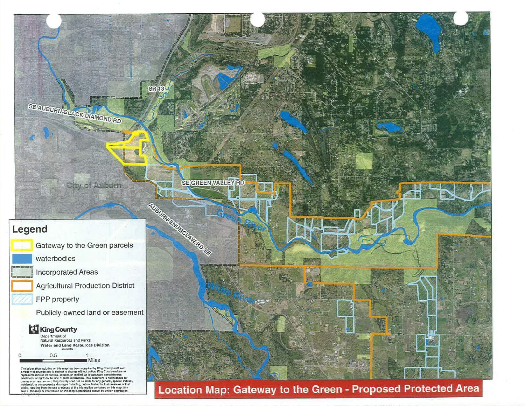

Location Map: Gateway to the Green - Proposed Protected Area